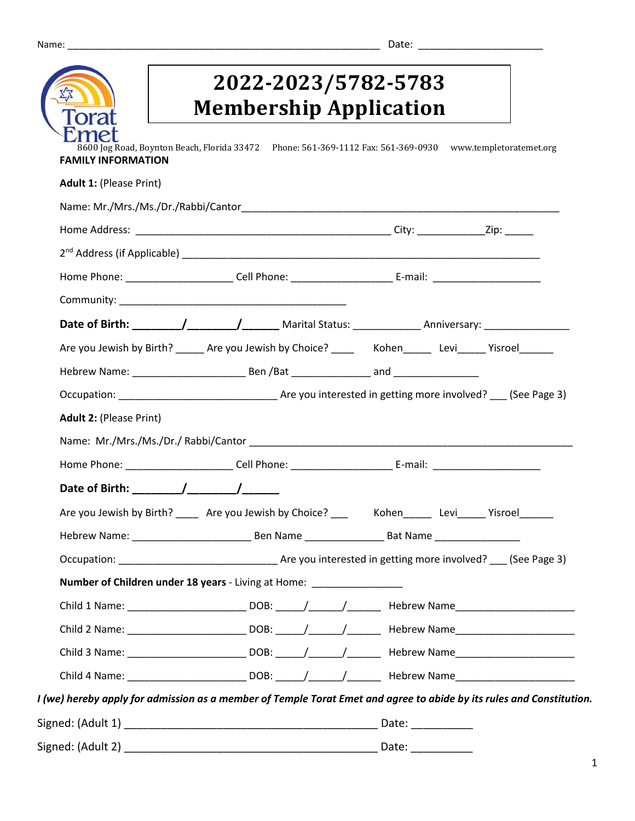|                                | 2022-2023/5782-5783<br><b>Membership Application</b>                                                                 |
|--------------------------------|----------------------------------------------------------------------------------------------------------------------|
| <b>FAMILY INFORMATION</b>      | 8600 Jog Road, Boynton Beach, Florida 33472 Phone: 561-369-1112 Fax: 561-369-0930 www.templetoratemet.org            |
| <b>Adult 1: (Please Print)</b> |                                                                                                                      |
|                                |                                                                                                                      |
|                                |                                                                                                                      |
|                                |                                                                                                                      |
|                                | Home Phone: __________________________Cell Phone: ___________________________E-mail: _________________________       |
|                                |                                                                                                                      |
|                                |                                                                                                                      |
|                                | Are you Jewish by Birth? ______ Are you Jewish by Choice? ________ Kohen _______ Levi______ Yisroel_______           |
|                                |                                                                                                                      |
|                                |                                                                                                                      |
| <b>Adult 2: (Please Print)</b> |                                                                                                                      |
|                                | Name: Mr./Mrs./Ms./Dr./ Rabbi/Cantor Name of the Second State of the Second State of the Second State of the S       |
|                                | Home Phone: __________________________Cell Phone: ___________________________E-mail: _________________________       |
|                                |                                                                                                                      |
|                                | Are you Jewish by Birth? _____ Are you Jewish by Choice? ____ Kohen_____ Levi_____ Yisroel______                     |
|                                |                                                                                                                      |
|                                |                                                                                                                      |
|                                | Number of Children under 18 years - Living at Home: _________________                                                |
|                                |                                                                                                                      |
|                                |                                                                                                                      |
|                                |                                                                                                                      |
|                                |                                                                                                                      |
|                                | I (we) hereby apply for admission as a member of Temple Torat Emet and agree to abide by its rules and Constitution. |
|                                |                                                                                                                      |
|                                |                                                                                                                      |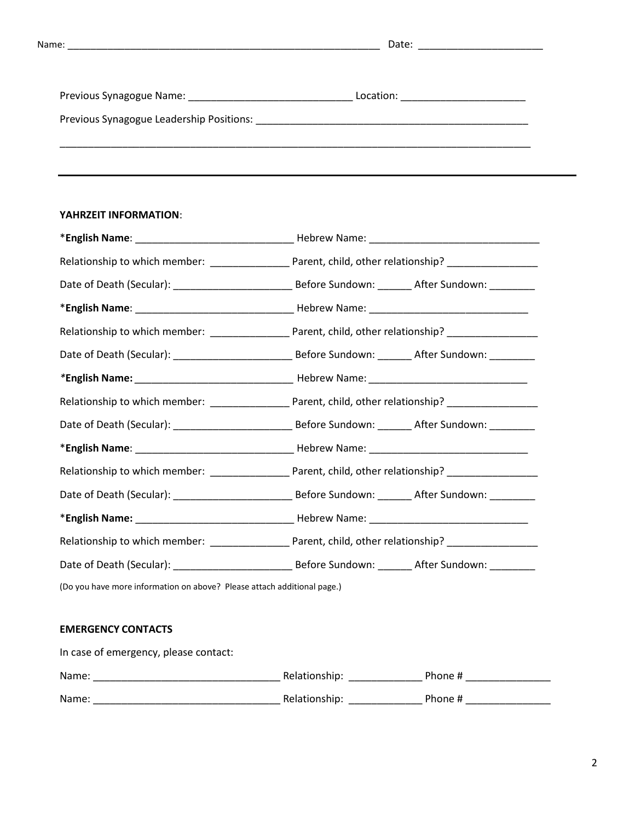Previous Synagogue Name: \_\_\_\_\_\_\_\_\_\_\_\_\_\_\_\_\_\_\_\_\_\_\_\_\_\_\_\_\_ Location: \_\_\_\_\_\_\_\_\_\_\_\_\_\_\_\_\_\_\_\_\_\_

Previous Synagogue Leadership Positions: \_\_\_\_\_\_\_\_\_\_\_\_\_\_\_\_\_\_\_\_\_\_\_\_\_\_\_\_\_\_\_\_\_\_\_\_\_\_\_\_\_\_\_\_\_\_\_\_

### **YAHRZEIT INFORMATION**:

| (Do you have more information on above? Please attach additional page.) |  |  |  |  |
|-------------------------------------------------------------------------|--|--|--|--|
|                                                                         |  |  |  |  |

## **EMERGENCY CONTACTS**

| In case of emergency, please contact: |               |         |  |
|---------------------------------------|---------------|---------|--|
| Name:                                 | Relationship: | Phone # |  |
| Name:                                 | Relationship: | Phone # |  |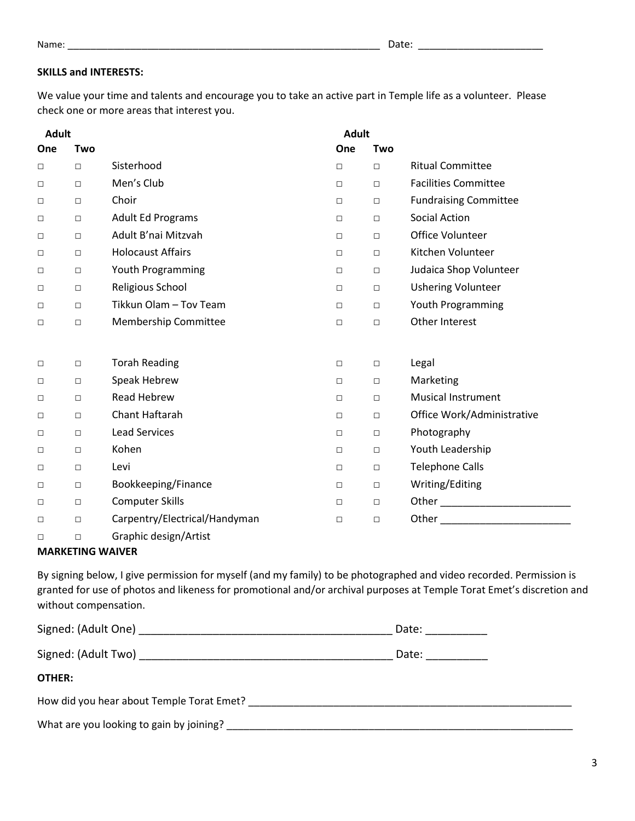## **SKILLS and INTERESTS:**

We value your time and talents and encourage you to take an active part in Temple life as a volunteer. Please check one or more areas that interest you.

| <b>Adult</b> |            |                               | <b>Adult</b> |        |                                                                                                                                                                                                                                |
|--------------|------------|-------------------------------|--------------|--------|--------------------------------------------------------------------------------------------------------------------------------------------------------------------------------------------------------------------------------|
| One          | <b>Two</b> |                               | One          | Two    |                                                                                                                                                                                                                                |
| $\Box$       | $\Box$     | Sisterhood                    | $\Box$       | $\Box$ | <b>Ritual Committee</b>                                                                                                                                                                                                        |
| $\Box$       | $\Box$     | Men's Club                    | $\Box$       | $\Box$ | <b>Facilities Committee</b>                                                                                                                                                                                                    |
| $\Box$       | $\Box$     | Choir                         | $\Box$       | $\Box$ | <b>Fundraising Committee</b>                                                                                                                                                                                                   |
| $\Box$       | $\Box$     | <b>Adult Ed Programs</b>      | $\Box$       | $\Box$ | <b>Social Action</b>                                                                                                                                                                                                           |
| $\Box$       | $\Box$     | Adult B'nai Mitzvah           | $\Box$       | $\Box$ | Office Volunteer                                                                                                                                                                                                               |
| $\Box$       | $\Box$     | <b>Holocaust Affairs</b>      | $\Box$       | $\Box$ | Kitchen Volunteer                                                                                                                                                                                                              |
| $\Box$       | $\Box$     | Youth Programming             | $\Box$       | $\Box$ | Judaica Shop Volunteer                                                                                                                                                                                                         |
| $\Box$       | $\Box$     | Religious School              | $\Box$       | $\Box$ | <b>Ushering Volunteer</b>                                                                                                                                                                                                      |
| $\Box$       | $\Box$     | Tikkun Olam - Tov Team        | $\Box$       | $\Box$ | Youth Programming                                                                                                                                                                                                              |
| $\Box$       | $\Box$     | Membership Committee          | $\Box$       | $\Box$ | Other Interest                                                                                                                                                                                                                 |
|              |            |                               |              |        |                                                                                                                                                                                                                                |
| $\Box$       | $\Box$     | <b>Torah Reading</b>          | $\Box$       | $\Box$ | Legal                                                                                                                                                                                                                          |
| $\Box$       | $\Box$     | Speak Hebrew                  | $\Box$       | $\Box$ | Marketing                                                                                                                                                                                                                      |
| $\Box$       | $\Box$     | <b>Read Hebrew</b>            | $\Box$       | $\Box$ | <b>Musical Instrument</b>                                                                                                                                                                                                      |
| $\Box$       | $\Box$     | Chant Haftarah                | $\Box$       | $\Box$ | Office Work/Administrative                                                                                                                                                                                                     |
| $\Box$       | $\Box$     | <b>Lead Services</b>          | $\Box$       | $\Box$ | Photography                                                                                                                                                                                                                    |
| $\Box$       | $\Box$     | Kohen                         | $\Box$       | $\Box$ | Youth Leadership                                                                                                                                                                                                               |
| $\Box$       | $\Box$     | Levi                          | $\Box$       | $\Box$ | <b>Telephone Calls</b>                                                                                                                                                                                                         |
| $\Box$       | $\Box$     | Bookkeeping/Finance           | $\Box$       | $\Box$ | Writing/Editing                                                                                                                                                                                                                |
| $\Box$       | $\Box$     | <b>Computer Skills</b>        | $\Box$       | $\Box$ | Other $\qquad \qquad$                                                                                                                                                                                                          |
| $\Box$       | $\Box$     | Carpentry/Electrical/Handyman | $\Box$       | $\Box$ | Other the contract of the contract of the contract of the contract of the contract of the contract of the contract of the contract of the contract of the contract of the contract of the contract of the contract of the cont |
| □            | $\Box$     | Graphic design/Artist         |              |        |                                                                                                                                                                                                                                |

### **MARKETING WAIVER**

By signing below, I give permission for myself (and my family) to be photographed and video recorded. Permission is granted for use of photos and likeness for promotional and/or archival purposes at Temple Torat Emet's discretion and without compensation.

| Signed: (Adult One)                       | Date: |  |
|-------------------------------------------|-------|--|
| Signed: (Adult Two)                       | Date: |  |
| OTHER:                                    |       |  |
| How did you hear about Temple Torat Emet? |       |  |

What are you looking to gain by joining? \_\_\_\_\_\_\_\_\_\_\_\_\_\_\_\_\_\_\_\_\_\_\_\_\_\_\_\_\_\_\_\_\_\_\_\_\_\_\_\_\_\_\_\_\_\_\_\_\_\_\_\_\_\_\_\_\_\_\_\_\_